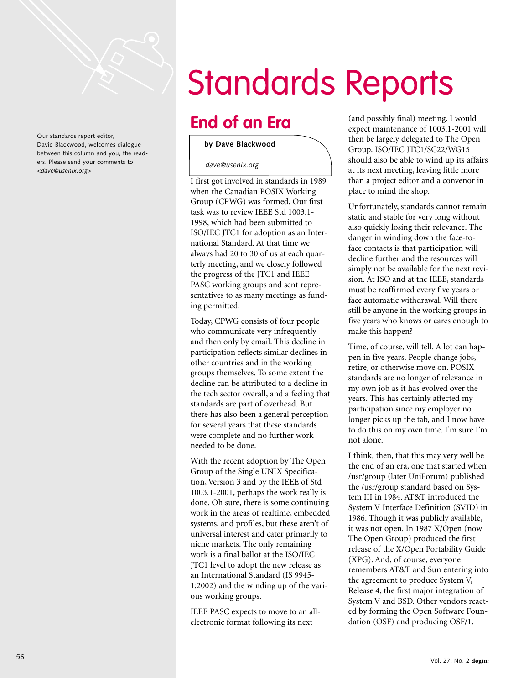

Our standards report editor, David Blackwood, welcomes dialogue between this column and you, the readers. Please send your comments to *<dave@usenix.org>*

# Standards Reports

# **End of an Era**

#### **by Dave Blackwood**

*dave@usenix.org*

I first got involved in standards in 1989 when the Canadian POSIX Working Group (CPWG) was formed. Our first task was to review IEEE Std 1003.1- 1998, which had been submitted to ISO/IEC JTC1 for adoption as an International Standard. At that time we always had 20 to 30 of us at each quarterly meeting, and we closely followed the progress of the JTC1 and IEEE PASC working groups and sent representatives to as many meetings as funding permitted.

Today, CPWG consists of four people who communicate very infrequently and then only by email. This decline in participation reflects similar declines in other countries and in the working groups themselves. To some extent the decline can be attributed to a decline in the tech sector overall, and a feeling that standards are part of overhead. But there has also been a general perception for several years that these standards were complete and no further work needed to be done.

With the recent adoption by The Open Group of the Single UNIX Specification, Version 3 and by the IEEE of Std 1003.1-2001, perhaps the work really is done. Oh sure, there is some continuing work in the areas of realtime, embedded systems, and profiles, but these aren't of universal interest and cater primarily to niche markets. The only remaining work is a final ballot at the ISO/IEC JTC1 level to adopt the new release as an International Standard (IS 9945- 1:2002) and the winding up of the various working groups.

IEEE PASC expects to move to an allelectronic format following its next

(and possibly final) meeting. I would expect maintenance of 1003.1-2001 will then be largely delegated to The Open Group. ISO/IEC JTC1/SC22/WG15 should also be able to wind up its affairs at its next meeting, leaving little more than a project editor and a convenor in place to mind the shop.

Unfortunately, standards cannot remain static and stable for very long without also quickly losing their relevance. The danger in winding down the face-toface contacts is that participation will decline further and the resources will simply not be available for the next revision. At ISO and at the IEEE, standards must be reaffirmed every five years or face automatic withdrawal. Will there still be anyone in the working groups in five years who knows or cares enough to make this happen?

Time, of course, will tell. A lot can happen in five years. People change jobs, retire, or otherwise move on. POSIX standards are no longer of relevance in my own job as it has evolved over the years. This has certainly affected my participation since my employer no longer picks up the tab, and I now have to do this on my own time. I'm sure I'm not alone.

I think, then, that this may very well be the end of an era, one that started when /usr/group (later UniForum) published the /usr/group standard based on System III in 1984. AT&T introduced the System V Interface Definition (SVID) in 1986. Though it was publicly available, it was not open. In 1987 X/Open (now The Open Group) produced the first release of the X/Open Portability Guide (XPG). And, of course, everyone remembers AT&T and Sun entering into the agreement to produce System V, Release 4, the first major integration of System V and BSD. Other vendors reacted by forming the Open Software Foundation (OSF) and producing OSF/1.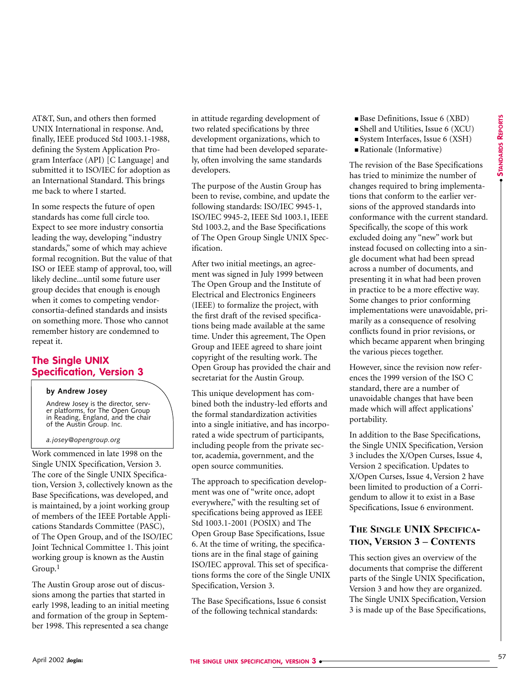AT&T, Sun, and others then formed UNIX International in response. And, finally, IEEE produced Std 1003.1-1988, defining the System Application Program Interface (API) [C Language] and submitted it to ISO/IEC for adoption as an International Standard. This brings me back to where I started.

In some respects the future of open standards has come full circle too. Expect to see more industry consortia leading the way, developing "industry standards," some of which may achieve formal recognition. But the value of that ISO or IEEE stamp of approval, too, will likely decline...until some future user group decides that enough is enough when it comes to competing vendorconsortia-defined standards and insists on something more. Those who cannot remember history are condemned to repeat it.

# **The Single UNIX Specification, Version 3**

#### **by Andrew Josey**

Andrew Josey is the director, server platforms, for The Open Group in Reading, England, and the chair of the Austin Group. Inc.

#### *a.josey@opengroup.org*

Work commenced in late 1998 on the Single UNIX Specification, Version 3. The core of the Single UNIX Specification, Version 3, collectively known as the Base Specifications, was developed, and is maintained, by a joint working group of members of the IEEE Portable Applications Standards Committee (PASC), of The Open Group, and of the ISO/IEC Joint Technical Committee 1. This joint working group is known as the Austin  $G$ roup.<sup>1</sup>

The Austin Group arose out of discussions among the parties that started in early 1998, leading to an initial meeting and formation of the group in September 1998. This represented a sea change

in attitude regarding development of two related specifications by three development organizations, which to that time had been developed separately, often involving the same standards developers.

The purpose of the Austin Group has been to revise, combine, and update the following standards: ISO/IEC 9945-1, ISO/IEC 9945-2, IEEE Std 1003.1, IEEE Std 1003.2, and the Base Specifications of The Open Group Single UNIX Specification.

After two initial meetings, an agreement was signed in July 1999 between The Open Group and the Institute of Electrical and Electronics Engineers (IEEE) to formalize the project, with the first draft of the revised specifications being made available at the same time. Under this agreement, The Open Group and IEEE agreed to share joint copyright of the resulting work. The Open Group has provided the chair and secretariat for the Austin Group.

This unique development has combined both the industry-led efforts and the formal standardization activities into a single initiative, and has incorporated a wide spectrum of participants, including people from the private sector, academia, government, and the open source communities.

The approach to specification development was one of "write once, adopt everywhere," with the resulting set of specifications being approved as IEEE Std 1003.1-2001 (POSIX) and The Open Group Base Specifications, Issue 6. At the time of writing, the specifications are in the final stage of gaining ISO/IEC approval. This set of specifications forms the core of the Single UNIX Specification, Version 3.

The Base Specifications, Issue 6 consist of the following technical standards:

- Base Definitions, Issue 6 (XBD)
- Shell and Utilities, Issue 6 (XCU)
- System Interfaces, Issue 6 (XSH)
- Rationale (Informative)

The revision of the Base Specifications has tried to minimize the number of changes required to bring implementations that conform to the earlier versions of the approved standards into conformance with the current standard. Specifically, the scope of this work excluded doing any "new" work but instead focused on collecting into a single document what had been spread across a number of documents, and presenting it in what had been proven in practice to be a more effective way. Some changes to prior conforming implementations were unavoidable, primarily as a consequence of resolving conflicts found in prior revisions, or which became apparent when bringing the various pieces together.

However, since the revision now references the 1999 version of the ISO C standard, there are a number of unavoidable changes that have been made which will affect applications' portability.

In addition to the Base Specifications, the Single UNIX Specification, Version 3 includes the X/Open Curses, Issue 4, Version 2 specification. Updates to X/Open Curses, Issue 4, Version 2 have been limited to production of a Corrigendum to allow it to exist in a Base Specifications, Issue 6 environment.

## **THE SINGLE UNIX SPECIFICA-TION, VERSION 3 – CONTENTS**

This section gives an overview of the documents that comprise the different parts of the Single UNIX Specification, Version 3 and how they are organized. The Single UNIX Specification, Version 3 is made up of the Base Specifications,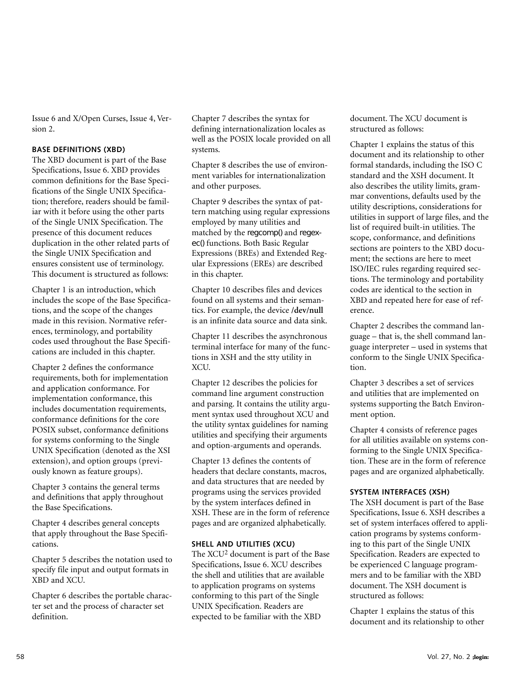Issue 6 and X/Open Curses, Issue 4, Version 2.

#### **BASE DEFINITIONS (XBD)**

The XBD document is part of the Base Specifications, Issue 6. XBD provides common definitions for the Base Specifications of the Single UNIX Specification; therefore, readers should be familiar with it before using the other parts of the Single UNIX Specification. The presence of this document reduces duplication in the other related parts of the Single UNIX Specification and ensures consistent use of terminology. This document is structured as follows:

Chapter 1 is an introduction, which includes the scope of the Base Specifications, and the scope of the changes made in this revision. Normative references, terminology, and portability codes used throughout the Base Specifications are included in this chapter.

Chapter 2 defines the conformance requirements, both for implementation and application conformance. For implementation conformance, this includes documentation requirements, conformance definitions for the core POSIX subset, conformance definitions for systems conforming to the Single UNIX Specification (denoted as the XSI extension), and option groups (previously known as feature groups).

Chapter 3 contains the general terms and definitions that apply throughout the Base Specifications.

Chapter 4 describes general concepts that apply throughout the Base Specifications.

Chapter 5 describes the notation used to specify file input and output formats in XBD and XCU.

Chapter 6 describes the portable character set and the process of character set definition.

Chapter 7 describes the syntax for defining internationalization locales as well as the POSIX locale provided on all systems.

Chapter 8 describes the use of environment variables for internationalization and other purposes.

Chapter 9 describes the syntax of pattern matching using regular expressions employed by many utilities and matched by the regcomp() and regexec() functions. Both Basic Regular Expressions (BREs) and Extended Regular Expressions (EREs) are described in this chapter.

Chapter 10 describes files and devices found on all systems and their semantics. For example, the device **/dev/null** is an infinite data source and data sink.

Chapter 11 describes the asynchronous terminal interface for many of the functions in XSH and the stty utility in XCU.

Chapter 12 describes the policies for command line argument construction and parsing. It contains the utility argument syntax used throughout XCU and the utility syntax guidelines for naming utilities and specifying their arguments and option-arguments and operands.

Chapter 13 defines the contents of headers that declare constants, macros, and data structures that are needed by programs using the services provided by the system interfaces defined in XSH. These are in the form of reference pages and are organized alphabetically.

#### **SHELL AND UTILITIES (XCU)**

The XCU2 document is part of the Base Specifications, Issue 6. XCU describes the shell and utilities that are available to application programs on systems conforming to this part of the Single UNIX Specification. Readers are expected to be familiar with the XBD

document. The XCU document is structured as follows:

Chapter 1 explains the status of this document and its relationship to other formal standards, including the ISO C standard and the XSH document. It also describes the utility limits, grammar conventions, defaults used by the utility descriptions, considerations for utilities in support of large files, and the list of required built-in utilities. The scope, conformance, and definitions sections are pointers to the XBD document; the sections are here to meet ISO/IEC rules regarding required sections. The terminology and portability codes are identical to the section in XBD and repeated here for ease of reference.

Chapter 2 describes the command language – that is, the shell command language interpreter – used in systems that conform to the Single UNIX Specification.

Chapter 3 describes a set of services and utilities that are implemented on systems supporting the Batch Environment option.

Chapter 4 consists of reference pages for all utilities available on systems conforming to the Single UNIX Specification. These are in the form of reference pages and are organized alphabetically.

#### **SYSTEM INTERFACES (XSH)**

The XSH document is part of the Base Specifications, Issue 6. XSH describes a set of system interfaces offered to application programs by systems conforming to this part of the Single UNIX Specification. Readers are expected to be experienced C language programmers and to be familiar with the XBD document. The XSH document is structured as follows:

Chapter 1 explains the status of this document and its relationship to other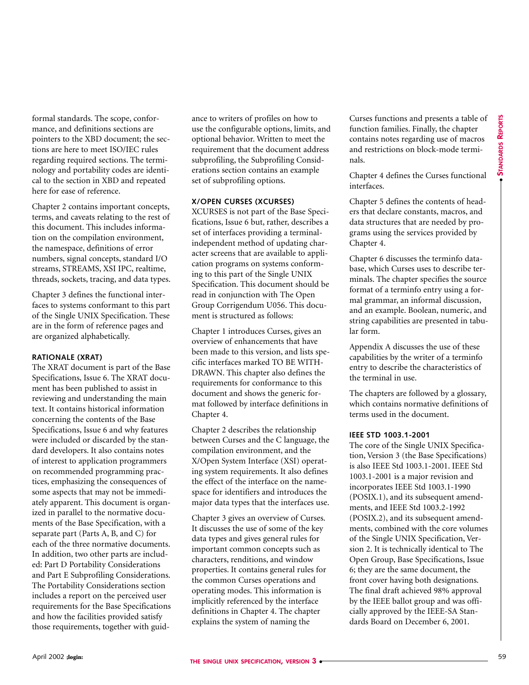formal standards. The scope, conformance, and definitions sections are pointers to the XBD document; the sections are here to meet ISO/IEC rules regarding required sections. The terminology and portability codes are identical to the section in XBD and repeated here for ease of reference.

Chapter 2 contains important concepts, terms, and caveats relating to the rest of this document. This includes information on the compilation environment, the namespace, definitions of error numbers, signal concepts, standard I/O streams, STREAMS, XSI IPC, realtime, threads, sockets, tracing, and data types.

Chapter 3 defines the functional interfaces to systems conformant to this part of the Single UNIX Specification. These are in the form of reference pages and are organized alphabetically.

#### **RATIONALE (XRAT)**

The XRAT document is part of the Base Specifications, Issue 6. The XRAT document has been published to assist in reviewing and understanding the main text. It contains historical information concerning the contents of the Base Specifications, Issue 6 and why features were included or discarded by the standard developers. It also contains notes of interest to application programmers on recommended programming practices, emphasizing the consequences of some aspects that may not be immediately apparent. This document is organized in parallel to the normative documents of the Base Specification, with a separate part (Parts A, B, and C) for each of the three normative documents. In addition, two other parts are included: Part D Portability Considerations and Part E Subprofiling Considerations. The Portability Considerations section includes a report on the perceived user requirements for the Base Specifications and how the facilities provided satisfy those requirements, together with guid-

ance to writers of profiles on how to use the configurable options, limits, and optional behavior. Written to meet the requirement that the document address subprofiling, the Subprofiling Considerations section contains an example set of subprofiling options.

#### **X/OPEN CURSES (XCURSES)**

XCURSES is not part of the Base Specifications, Issue 6 but, rather, describes a set of interfaces providing a terminalindependent method of updating character screens that are available to application programs on systems conforming to this part of the Single UNIX Specification. This document should be read in conjunction with The Open Group Corrigendum U056. This document is structured as follows:

Chapter 1 introduces Curses, gives an overview of enhancements that have been made to this version, and lists specific interfaces marked TO BE WITH-DRAWN. This chapter also defines the requirements for conformance to this document and shows the generic format followed by interface definitions in Chapter 4.

Chapter 2 describes the relationship between Curses and the C language, the compilation environment, and the X/Open System Interface (XSI) operating system requirements. It also defines the effect of the interface on the namespace for identifiers and introduces the major data types that the interfaces use.

Chapter 3 gives an overview of Curses. It discusses the use of some of the key data types and gives general rules for important common concepts such as characters, renditions, and window properties. It contains general rules for the common Curses operations and operating modes. This information is implicitly referenced by the interface definitions in Chapter 4. The chapter explains the system of naming the

Curses functions and presents a table of function families. Finally, the chapter contains notes regarding use of macros and restrictions on block-mode terminals.

Chapter 4 defines the Curses functional interfaces.

Chapter 5 defines the contents of headers that declare constants, macros, and data structures that are needed by programs using the services provided by Chapter 4.

Chapter 6 discusses the terminfo database, which Curses uses to describe terminals. The chapter specifies the source format of a terminfo entry using a formal grammar, an informal discussion, and an example. Boolean, numeric, and string capabilities are presented in tabular form.

Appendix A discusses the use of these capabilities by the writer of a terminfo entry to describe the characteristics of the terminal in use.

The chapters are followed by a glossary, which contains normative definitions of terms used in the document.

#### **IEEE STD 1003.1-2001**

The core of the Single UNIX Specification, Version 3 (the Base Specifications) is also IEEE Std 1003.1-2001. IEEE Std 1003.1-2001 is a major revision and incorporates IEEE Std 1003.1-1990 (POSIX.1), and its subsequent amendments, and IEEE Std 1003.2-1992 (POSIX.2), and its subsequent amendments, combined with the core volumes of the Single UNIX Specification, Version 2. It is technically identical to The Open Group, Base Specifications, Issue 6; they are the same document, the front cover having both designations. The final draft achieved 98% approval by the IEEE ballot group and was officially approved by the IEEE-SA Standards Board on December 6, 2001.